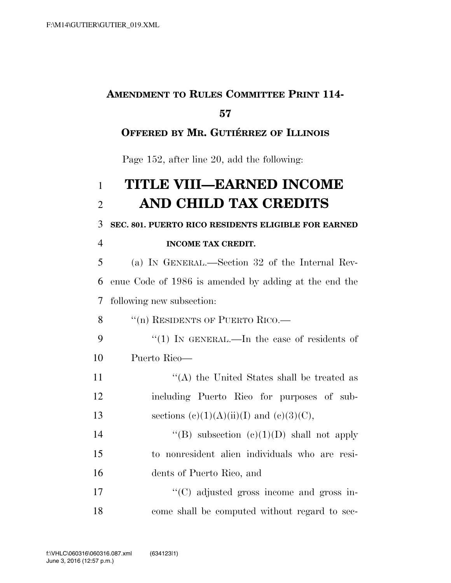## **AMENDMENT TO RULES COMMITTEE PRINT 114- 57**

## **OFFERED BY MR. GUTIÉRREZ OF ILLINOIS**

Page 152, after line 20, add the following:

## 1 **TITLE VIII—EARNED INCOME**  2 **AND CHILD TAX CREDITS**

3 **SEC. 801. PUERTO RICO RESIDENTS ELIGIBLE FOR EARNED** 

## 4 **INCOME TAX CREDIT.**

5 (a) IN GENERAL.—Section 32 of the Internal Rev-6 enue Code of 1986 is amended by adding at the end the 7 following new subsection:

8 "(n) RESIDENTS OF PUERTO RICO.—

9 "(1) In GENERAL.—In the case of residents of 10 Puerto Rico—

11 ''(A) the United States shall be treated as 12 including Puerto Rico for purposes of sub-13 sections  $(e)(1)(A)(ii)(I)$  and  $(e)(3)(C)$ ,

14  $"$ (B) subsection  $(e)(1)(D)$  shall not apply 15 to nonresident alien individuals who are resi-16 dents of Puerto Rico, and

17  $\cdot$  (C) adjusted gross income and gross in-18 come shall be computed without regard to sec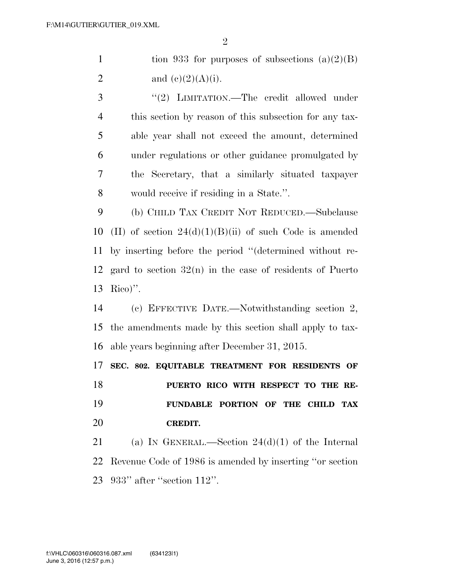$\mathfrak{D}$ 

1 tion 933 for purposes of subsections  $(a)(2)(B)$ 2 and  $(e)(2)(A)(i)$ .

3 "(2) LIMITATION.—The credit allowed under this section by reason of this subsection for any tax- able year shall not exceed the amount, determined under regulations or other guidance promulgated by the Secretary, that a similarly situated taxpayer would receive if residing in a State.''.

 (b) CHILD TAX CREDIT NOT REDUCED.—Subclause 10 (II) of section  $24(d)(1)(B)(ii)$  of such Code is amended by inserting before the period ''(determined without re- gard to section 32(n) in the case of residents of Puerto Rico)''.

 (c) EFFECTIVE DATE.—Notwithstanding section 2, the amendments made by this section shall apply to tax-able years beginning after December 31, 2015.

 **SEC. 802. EQUITABLE TREATMENT FOR RESIDENTS OF PUERTO RICO WITH RESPECT TO THE RE- FUNDABLE PORTION OF THE CHILD TAX CREDIT.** 

21 (a) IN GENERAL.—Section  $24(d)(1)$  of the Internal Revenue Code of 1986 is amended by inserting ''or section 933'' after ''section 112''.